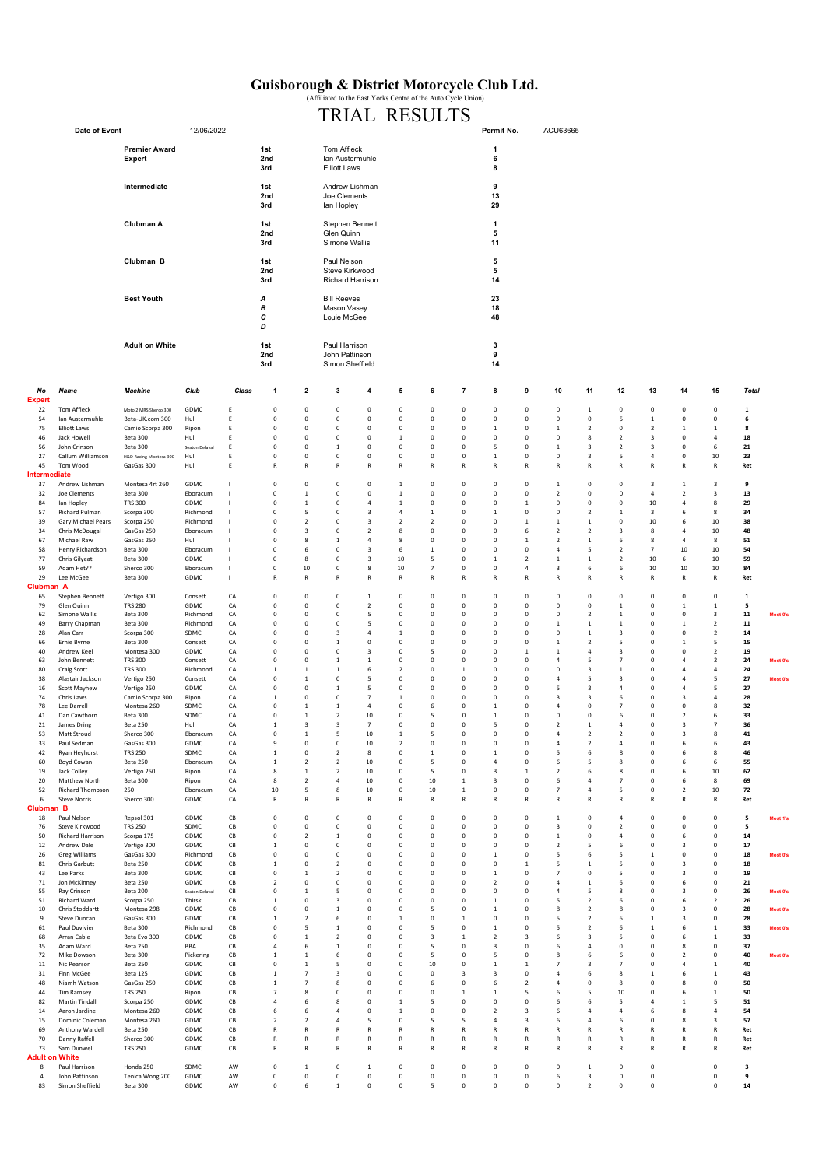## Guisborough & District Motorcycle Club Ltd. (Affiliated to the East Yorks Centre of the Auto Cycle Union)

## Date of Event 12/06/2022 1st 1 2nd 6 Expert Ian Austermuhle 3rd **8 Intermediate 18 Contract 19 Contract 18t** Andrew Lishman **Contract 18t Contract 2** 2nd 13 Joe Clements 3rd 29 Ian Hopley Clubman A **1st** 1 Stephen Bennett 1 Stephen 1 Stephen Bennett **2nd 5** Glen Quinn 3rd Simone Wallis 11 **Clubman B** 5 and 5 and 5 and 5 and 5 and 5 and 5 and 5 and 5 and 5 and 5 and 5 and 5 and 5 and 5 and 5 and 5 and 5 and 5 and 5 and 5 and 5 and 5 and 5 and 5 and 5 and 5 and 5 and 5 and 5 and 5 and 5 and 5 and 5 and 5 and 2nd 5 Steve Kirkwood 3rd 14 Richard Harrison A 23<br>
B Mason Vasey Care 20 23<br>
18 B 18 Mason Vasey C 48 Louie McGee  $_{\scriptscriptstyle D}^{\scriptscriptstyle C}$ 1st 3 2nd 9 John Pattinson 3rd 14 Simon Sheffield No Name Machine Club Class 1 2 3 4 5 6 7 8 9 10 11 12 13 14 15 Total Expert -1 22 Tom Affleck Moto 2 MRS Sherco 300 GDMC E 0 0 0 0 0 0 0 0 0 0 1 0 0 0 0 1 54 Ian Austermuhle Beta-UK.com 300 Hull E 0 0 0 0 0 0 0 0 0 0 0 5 1 0 0 6 75 Elliott Laws Camio Scorpa 300 Ripon E 0 0 0 0 0 0 0 1 0 1 2 0 2 1 1 8 46 Jack Howell Beta 300 Hull E 0 0 0 0 1 0 0 0 0 0 8 2 3 0 4 18 56 John Crinson Beta 300 Seaton Delaval E 0 0 1 0 0 0 0 5 0 1 3 2 3 0 6 21 27 Callum Williamson H&D Racing Montesa 300 Hull E 0 0 0 0 0 0 0 1 0 0 3 5 4 0 10 23 45 Tom Wood GasGas 300 Hull E R R R R R R R R R R R R R R R Ret Intermediate -1 37 Andrew Lishman Montesa 4rt 260 GDMC I 0 0 0 0 1 0 0 0 0 1 0 0 3 1 3 9 32 Joe Clements Beta 300 Eboracum I 0 1 0 0 1 0 0 0 0 2 0 0 4 2 3 13 84 Ian Hopley TRS 300 GDMC I 0 1 0 4 1 0 0 0 1 0 0 0 10 4 8 29 57 Richard Pulman Scorpa 300 Richmond I 0 5 0 3 4 1 0 1 0 0 2 1 3 6 8 34 39 Gary Michael Pears Scorpa 250 Richmond I 0 2 0 3 2 2 0 0 1 1 1 0 10 6 10 38 34 Chris McDougal GasGas 250 Eboracum I 0 3 0 2 8 0 0 0 6 2 2 3 8 4 10 48 67 Michael Raw GasGas 250 Hull I 0 8 1 4 8 0 0 0 1 2 1 6 8 4 8 51 58 Henry Richardson Beta 300 Eboracum I 0 6 0 3 6 1 0 0 0 4 5 2 7 10 10 54 77 Chris Gilyeat Beta 300 GDMC I 0 8 0 3 10 5 0 1 2 1 1 2 10 6 10 59 59 Adam Het?? Sherco 300 Eboracum I 0 10 0 8 10 7 0 0 4 3 6 6 10 10 10 84 29 Lee McGee Beta 300 GDMC I R R R R R R R R R R R R R R R Ret Clubman A -1 65 Stephen Bennett Vertigo 300 Consett CA 0 0 0 1 0 0 0 0 0 0 0 0 0 0 0 1 79 Glen Quinn TRS 280 GDMC CA 0 0 0 2 0 0 0 0 0 0 0 1 0 1 1 5 62 Simone Wallis Beta 300 Richmond CA 0 0 0 5 0 0 0 0 0 0 2 1 0 0 3 11 Most 0's 49 Barry Chapman Beta 300 Richmond CA 0 0 0 5 0 0 0 0 0 0 1 1 1 0 1 2 11 28 Alan Carr Scorpa 300 SDMC CA 0 0 3 4 1 0 0 0 0 0 1 3 0 0 2 14 66 Ernie Byrne Beta 300 Consett CA 0 0 1 0 0 0 0 0 0 1 2 5 0 1 5 15 40 Andrew Keel Montesa 300 GDMC CA 0 0 0 3 0 5 0 0 1 1 4 3 0 0 2 19 63 John Bennett TRS 300 Consett CA 0 0 1 1 0 0 0 0 0 0 4 5 7 0 4 2 24 Most 0's 80 Craig Scott TRS 300 Richmond CA 1 1 1 6 2 0 1 0 0 0 3 1 0 4 4 24 38 Alastair Jackson Vertigo 250 Consett CA 0 1 0 5 0 0 0 0 0 0 4 5 3 0 4 5 <mark>27 M</mark>ost 0'<mark>s</mark> 16 Scott Mayhew Vertigo 250 GDMC CA 0 0 1 5 0 0 0 0 0 5 3 4 0 4 5 27 74 Chris Laws Camio Scorpa 300 Ripon CA 1 0 0 7 1 0 0 0 0 3 3 6 0 3 4 28 78 Lee Darrell Montesa 260 SDMC CA 0 1 1 4 0 6 0 1 0 4 0 7 0 0 8 32 41 Dan Cawthorn Beta 300 SDMC CA 0 1 2 10 0 5 0 1 0 0 0 6 0 2 6 33 21 James Dring Beta 250 Hull CA 1 3 3 7 0 0 0 5 0 2 1 4 0 3 7 36 53 Matt Stroud Sherco 300 Eboracum CA 0 1 5 10 1 5 0 0 0 4 2 2 0 3 8 41 33 Paul Sedman GasGas 300 GDMC CA 9 0 0 10 2 0 0 0 0 0 4 2 4 0 6 6 43 42 Ryan Heyhurst TRS 250 SDMC CA 1 0 2 8 0 1 0 1 0 5 6 8 0 6 8 46 60 Boyd Cowan Beta 250 Eboracum CA 1 2 2 10 0 5 0 4 0 6 5 8 0 6 6 55 19 Jack Colley Vertigo 250 Ripon CA 8 1 2 10 0 5 0 3 1 2 6 8 0 6 10 62 20 Matthew North Beta 300 Ripon CA 8 2 4 10 0 10 1 3 0 6 4 7 0 6 8 69 52 Richard Thompson 250 Eboracum CA 10 5 8 10 0 10 1 0 0 7 4 5 0 2 10 72 6 Steve Norris Sherco 300 GDMC CA R R R R R R R R R R R R R R R Ret Clubman B -1 18 Paul Nelson Repsol 301 GDMC CB 0 0 0 0 0 0 0 0 0 1 0 4 0 0 0 5 Most 1's 76 Steve Kirkwood TRS 250 SDMC CB 0 0 0 0 0 0 0 0 0 3 0 2 0 0 0 5 50 Richard Harrison Scorpa 175 GDMC CB 0 2 1 0 0 0 0 0 0 1 0 4 0 6 0 14 12 Andrew Dale Vertigo 300 GDMC CB 1 0 0 0 0 0 0 0 0 2 5 6 0 3 0 17 26 Greg Williams GasGas 300 Richmond CB 0 0 0 0 0 0 0 1 0 5 6 5 1 0 0 18 Most 0's 81 Chris Garbutt Beta 250 GDMC CB 1 0 2 0 0 0 0 0 1 5 1 5 0 3 0 18 43 Lee Parks Beta 300 GDMC CB 0 1 2 0 0 0 0 1 0 7 0 5 0 3 0 19 71 Jon McKinney Beta 250 GDMC CB 2 0 0 0 0 0 0 2 0 4 1 6 0 6 0 21 55 Ray Crinson Beta 200 seaton Delaval CB 0 1 5 0 0 0 0 0 0 0 4 5 8 0 3 0 26 Most 0's 51 Richard Ward Scorpa 250 Thirsk CB 1 0 3 0 0 0 0 1 0 5 2 6 0 6 2 26 10 Chris Stoddartt Montesa 298 GDMC CB 0 0 1 0 0 5 0 1 0 8 2 8 0 3 0 28 Most 0's 9 Steve Duncan GasGas 300 GDMC CB 1 2 6 0 1 0 1 0 0 5 2 6 1 3 0 28 61 Paul Duvivier Beta 300 Richmond CB 0 5 1 0 0 5 0 1 0 5 2 6 1 6 1 33 Most 0's 68 Arran Cable Beta Evo 300 GDMC CB 0 1 2 0 0 3 1 2 3 6 3 5 0 6 1 33 35 Adam Ward Beta 250 BBA CB 4 6 1 0 0 5 0 3 0 6 4 0 0 8 0 37 72 Mike Dowson Beta 300 Pickering CB 1 1 6 0 0 5 0 5 0 8 6 6 0 2 0 40 Most 0's 11 Nic Pearson Beta 250 GDMC CB 0 1 5 0 0 10 0 1 1 7 3 7 0 4 1 40 31 Finn McGee Beta 125 GDMC CB 1 7 3 0 0 0 3 3 0 4 6 8 1 6 1 43 48 Niamh Watson GasGas 250 GDMC CB 1 7 8 0 0 6 0 6 2 4 0 8 0 8 0 50 44 Tim Ramsey TRS 250 Ripon CB 7 8 0 0 0 0 1 1 5 6 5 10 0 6 1 50 82 Martin Tindall Scorpa 250 GDMC CB 4 6 8 0 1 5 0 0 0 6 6 5 4 1 5 51 14 Aaron Jardine Montesa 260 GDMC CB 6 6 4 0 1 0 0 2 3 6 4 4 6 8 4 54 15 Dominic Coleman Montesa 260 GDMC CB 2 2 4 5 0 5 5 4 3 6 4 6 0 8 3 57 69 Anthony Wardell Beta 250 GDMC CB R R R R R R R R R R R R R R R Ret 70 Danny Raffell Sherco 300 GDMC CB R R R R R R R R R R R R R R R Ret 73 Sam Dunwell TRS 250 GDMC CB R R R R R R R R R R R R R R R Ret Adult on White -1 8 Paul Harrison Honda 250 SDMC AW 0 1 0 1 0 0 0 0 0 0 0 1 0 0 0 0 3 4 John Pattinson Tenica Wong 200 GDMC AW 0 0 0 0 0 0 0 0 0 6 3 0 0 0 9 Adult on White **Best Youth** Premier Award<br>Expert TRIAL RESULTS Permit No. ACU63665

83 Simon Sheffield Beta 300 GDMC AW 0 6 1 0 0 5 0 0 0 0 2 0 0 0 14